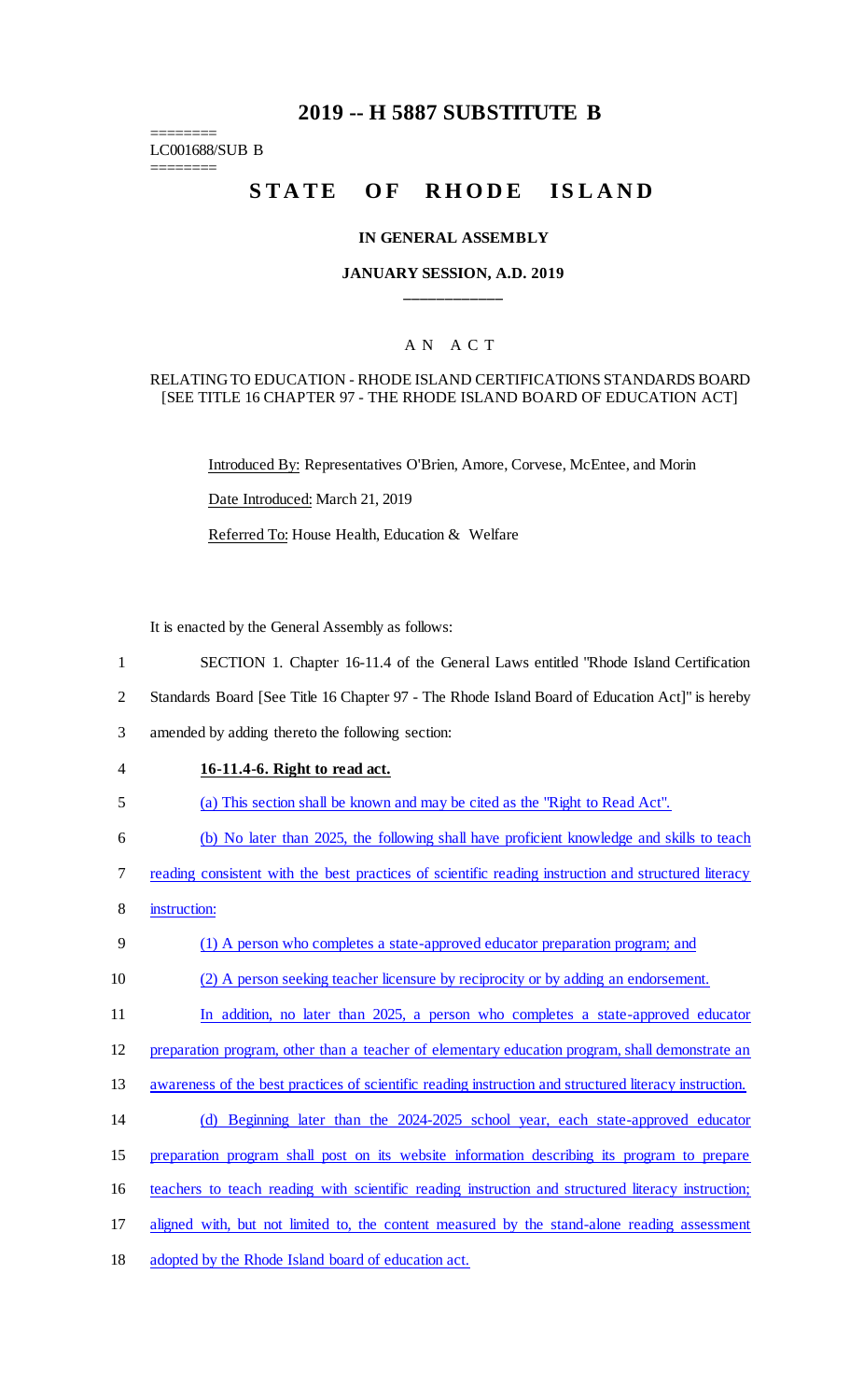## **2019 -- H 5887 SUBSTITUTE B**

======== LC001688/SUB B

========

# STATE OF RHODE ISLAND

#### **IN GENERAL ASSEMBLY**

## **JANUARY SESSION, A.D. 2019 \_\_\_\_\_\_\_\_\_\_\_\_**

## A N A C T

#### RELATING TO EDUCATION - RHODE ISLAND CERTIFICATIONS STANDARDS BOARD [SEE TITLE 16 CHAPTER 97 - THE RHODE ISLAND BOARD OF EDUCATION ACT]

Introduced By: Representatives O'Brien, Amore, Corvese, McEntee, and Morin Date Introduced: March 21, 2019

Referred To: House Health, Education & Welfare

It is enacted by the General Assembly as follows:

- 1 SECTION 1. Chapter 16-11.4 of the General Laws entitled "Rhode Island Certification
- 2 Standards Board [See Title 16 Chapter 97 The Rhode Island Board of Education Act]" is hereby

3 amended by adding thereto the following section:

- 4 **16-11.4-6. Right to read act.**
- 5 (a) This section shall be known and may be cited as the "Right to Read Act".
- 6 (b) No later than 2025, the following shall have proficient knowledge and skills to teach
- 7 reading consistent with the best practices of scientific reading instruction and structured literacy
- 8 instruction:
- 9 (1) A person who completes a state-approved educator preparation program; and
- 10 (2) A person seeking teacher licensure by reciprocity or by adding an endorsement.
- 11 In addition, no later than 2025, a person who completes a state-approved educator
- 12 preparation program, other than a teacher of elementary education program, shall demonstrate an
- 13 awareness of the best practices of scientific reading instruction and structured literacy instruction.
- 14 (d) Beginning later than the 2024-2025 school year, each state-approved educator
- 15 preparation program shall post on its website information describing its program to prepare
- 16 teachers to teach reading with scientific reading instruction and structured literacy instruction;
- 17 aligned with, but not limited to, the content measured by the stand-alone reading assessment
- 18 adopted by the Rhode Island board of education act.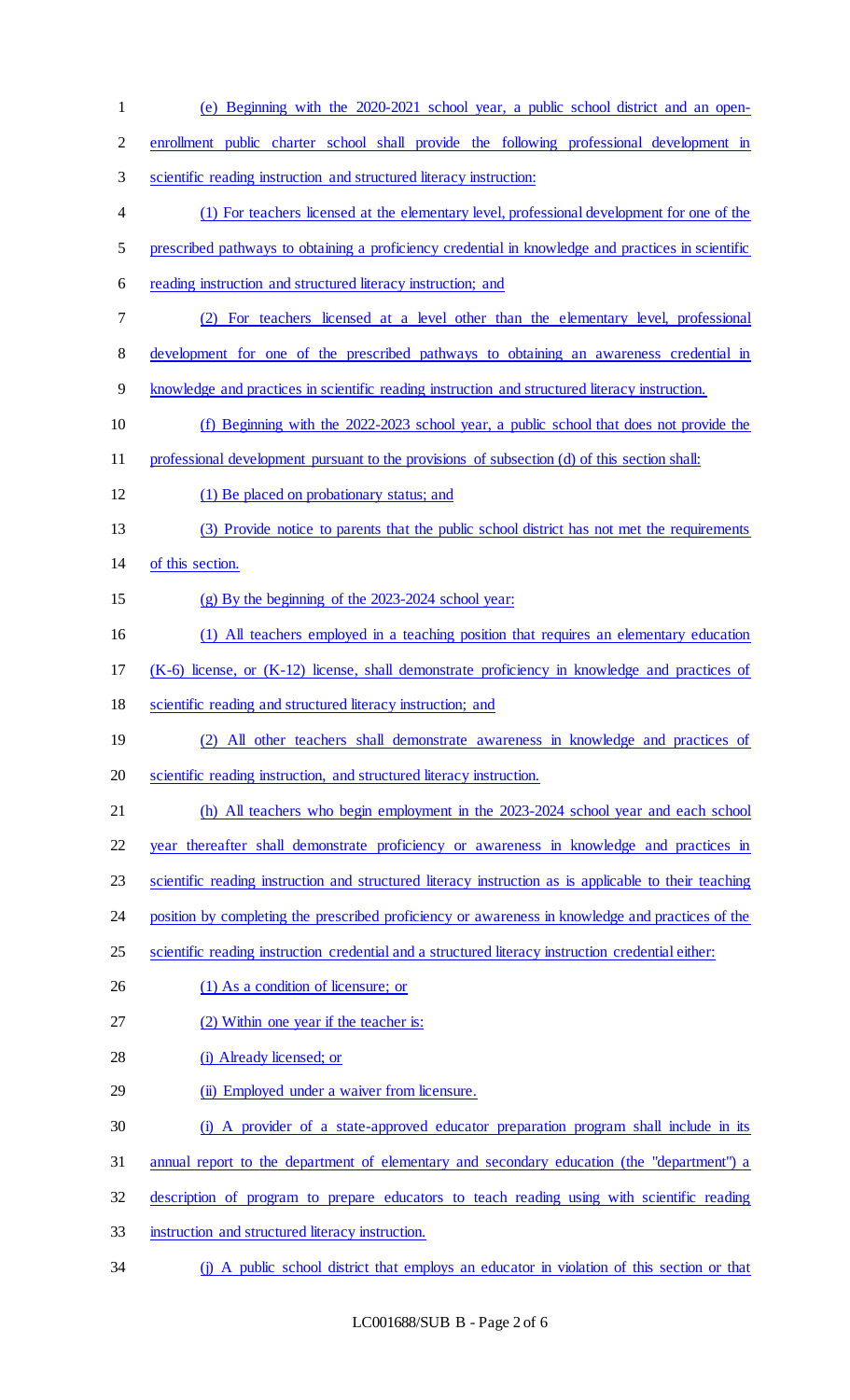| $\mathbf{1}$   | (e) Beginning with the 2020-2021 school year, a public school district and an open-                   |
|----------------|-------------------------------------------------------------------------------------------------------|
| $\overline{2}$ | enrollment public charter school shall provide the following professional development in              |
| 3              | scientific reading instruction and structured literacy instruction:                                   |
| 4              | (1) For teachers licensed at the elementary level, professional development for one of the            |
| 5              | prescribed pathways to obtaining a proficiency credential in knowledge and practices in scientific    |
| 6              | reading instruction and structured literacy instruction; and                                          |
| $\tau$         | (2) For teachers licensed at a level other than the elementary level, professional                    |
| 8              | development for one of the prescribed pathways to obtaining an awareness credential in                |
| 9              | knowledge and practices in scientific reading instruction and structured literacy instruction.        |
| 10             | (f) Beginning with the 2022-2023 school year, a public school that does not provide the               |
| 11             | professional development pursuant to the provisions of subsection (d) of this section shall:          |
| 12             | (1) Be placed on probationary status; and                                                             |
| 13             | (3) Provide notice to parents that the public school district has not met the requirements            |
| 14             | of this section.                                                                                      |
| 15             | $(g)$ By the beginning of the 2023-2024 school year:                                                  |
| 16             | (1) All teachers employed in a teaching position that requires an elementary education                |
| 17             | $(K-6)$ license, or $(K-12)$ license, shall demonstrate proficiency in knowledge and practices of     |
| 18             | scientific reading and structured literacy instruction; and                                           |
| 19             | (2) All other teachers shall demonstrate awareness in knowledge and practices of                      |
| 20             | scientific reading instruction, and structured literacy instruction.                                  |
| 21             | (h) All teachers who begin employment in the 2023-2024 school year and each school                    |
| 22             | year thereafter shall demonstrate proficiency or awareness in knowledge and practices in              |
| 23             | scientific reading instruction and structured literacy instruction as is applicable to their teaching |
| 24             | position by completing the prescribed proficiency or awareness in knowledge and practices of the      |
| 25             | scientific reading instruction credential and a structured literacy instruction credential either:    |
| 26             | (1) As a condition of licensure; or                                                                   |
| 27             | (2) Within one year if the teacher is:                                                                |
| 28             | (i) Already licensed; or                                                                              |
| 29             | (ii) Employed under a waiver from licensure.                                                          |
| 30             | (i) A provider of a state-approved educator preparation program shall include in its                  |
| 31             | annual report to the department of elementary and secondary education (the "department") a            |
| 32             | description of program to prepare educators to teach reading using with scientific reading            |
| 33             | instruction and structured literacy instruction.                                                      |
| 34             | (j) A public school district that employs an educator in violation of this section or that            |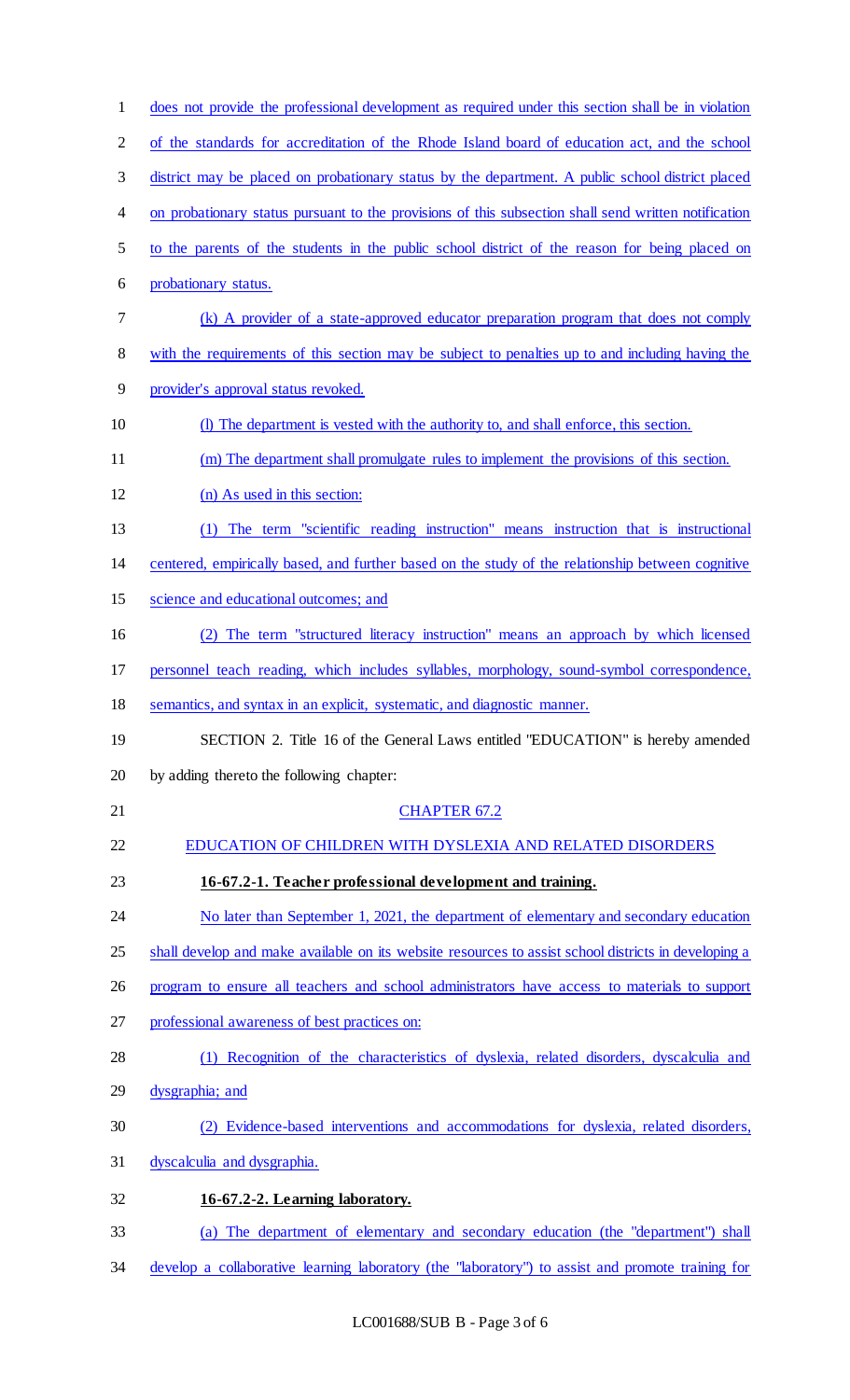| $\mathbf{1}$   | does not provide the professional development as required under this section shall be in violation   |
|----------------|------------------------------------------------------------------------------------------------------|
| $\overline{2}$ | of the standards for accreditation of the Rhode Island board of education act, and the school        |
| 3              | district may be placed on probationary status by the department. A public school district placed     |
| 4              | on probationary status pursuant to the provisions of this subsection shall send written notification |
| 5              | to the parents of the students in the public school district of the reason for being placed on       |
| 6              | probationary status.                                                                                 |
| 7              | (k) A provider of a state-approved educator preparation program that does not comply                 |
| $8\,$          | with the requirements of this section may be subject to penalties up to and including having the     |
| 9              | provider's approval status revoked.                                                                  |
| 10             | (I) The department is vested with the authority to, and shall enforce, this section.                 |
| 11             | (m) The department shall promulgate rules to implement the provisions of this section.               |
| 12             | (n) As used in this section:                                                                         |
| 13             | The term "scientific reading instruction" means instruction that is instructional<br>(1)             |
| 14             | centered, empirically based, and further based on the study of the relationship between cognitive    |
| 15             | science and educational outcomes; and                                                                |
| 16             | The term "structured literacy instruction" means an approach by which licensed<br>(2)                |
| 17             | personnel teach reading, which includes syllables, morphology, sound-symbol correspondence,          |
| 18             | semantics, and syntax in an explicit, systematic, and diagnostic manner.                             |
| 19             | SECTION 2. Title 16 of the General Laws entitled "EDUCATION" is hereby amended                       |
| 20             | by adding thereto the following chapter:                                                             |
| 21             | <b>CHAPTER 67.2</b>                                                                                  |
| 22             | EDUCATION OF CHILDREN WITH DYSLEXIA AND RELATED DISORDERS                                            |
| 23             | 16-67.2-1. Teacher professional development and training.                                            |
| 24             | No later than September 1, 2021, the department of elementary and secondary education                |
| 25             | shall develop and make available on its website resources to assist school districts in developing a |
| 26             | program to ensure all teachers and school administrators have access to materials to support         |
| 27             | professional awareness of best practices on:                                                         |
| 28             | (1) Recognition of the characteristics of dyslexia, related disorders, dyscalculia and               |
| 29             | dysgraphia; and                                                                                      |
| 30             | (2) Evidence-based interventions and accommodations for dyslexia, related disorders,                 |
| 31             | dyscalculia and dysgraphia.                                                                          |
| 32             | 16-67.2-2. Learning laboratory.                                                                      |
| 33             | (a) The department of elementary and secondary education (the "department") shall                    |
| 34             | develop a collaborative learning laboratory (the "laboratory") to assist and promote training for    |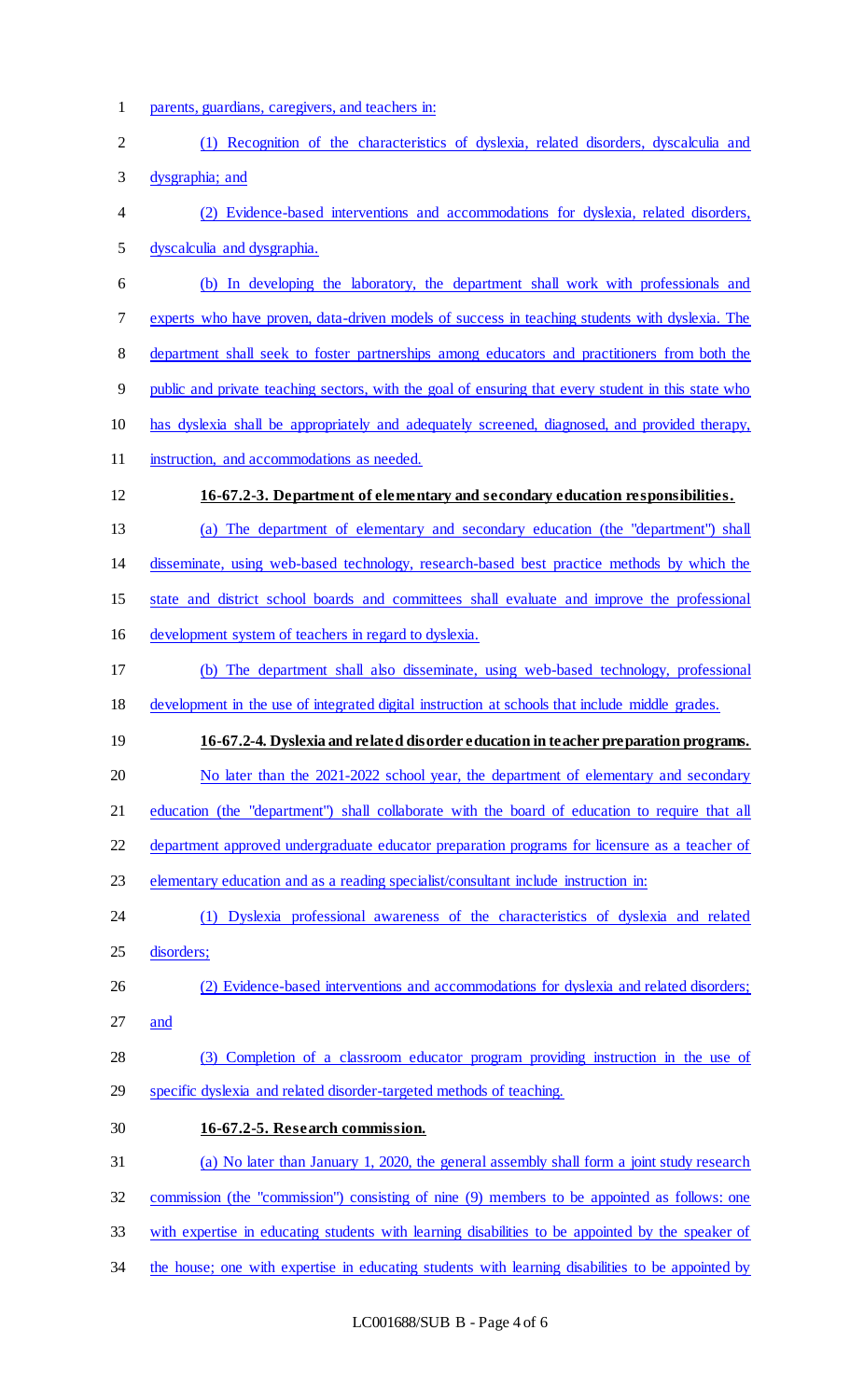- parents, guardians, caregivers, and teachers in:
- (1) Recognition of the characteristics of dyslexia, related disorders, dyscalculia and dysgraphia; and (2) Evidence-based interventions and accommodations for dyslexia, related disorders, dyscalculia and dysgraphia. (b) In developing the laboratory, the department shall work with professionals and experts who have proven, data-driven models of success in teaching students with dyslexia. The department shall seek to foster partnerships among educators and practitioners from both the public and private teaching sectors, with the goal of ensuring that every student in this state who has dyslexia shall be appropriately and adequately screened, diagnosed, and provided therapy, instruction, and accommodations as needed. **16-67.2-3. Department of elementary and secondary education responsibilities.**  (a) The department of elementary and secondary education (the "department") shall disseminate, using web-based technology, research-based best practice methods by which the state and district school boards and committees shall evaluate and improve the professional
- development system of teachers in regard to dyslexia.
- (b) The department shall also disseminate, using web-based technology, professional
- development in the use of integrated digital instruction at schools that include middle grades.

**16-67.2-4. Dyslexia and related disorder education in teacher preparation programs.** 

20 No later than the 2021-2022 school year, the department of elementary and secondary

education (the "department") shall collaborate with the board of education to require that all

- department approved undergraduate educator preparation programs for licensure as a teacher of
- elementary education and as a reading specialist/consultant include instruction in:
- (1) Dyslexia professional awareness of the characteristics of dyslexia and related disorders;
- (2) Evidence-based interventions and accommodations for dyslexia and related disorders; and
- (3) Completion of a classroom educator program providing instruction in the use of specific dyslexia and related disorder-targeted methods of teaching.
- **16-67.2-5. Research commission.** (a) No later than January 1, 2020, the general assembly shall form a joint study research commission (the "commission") consisting of nine (9) members to be appointed as follows: one
- with expertise in educating students with learning disabilities to be appointed by the speaker of
- 34 the house; one with expertise in educating students with learning disabilities to be appointed by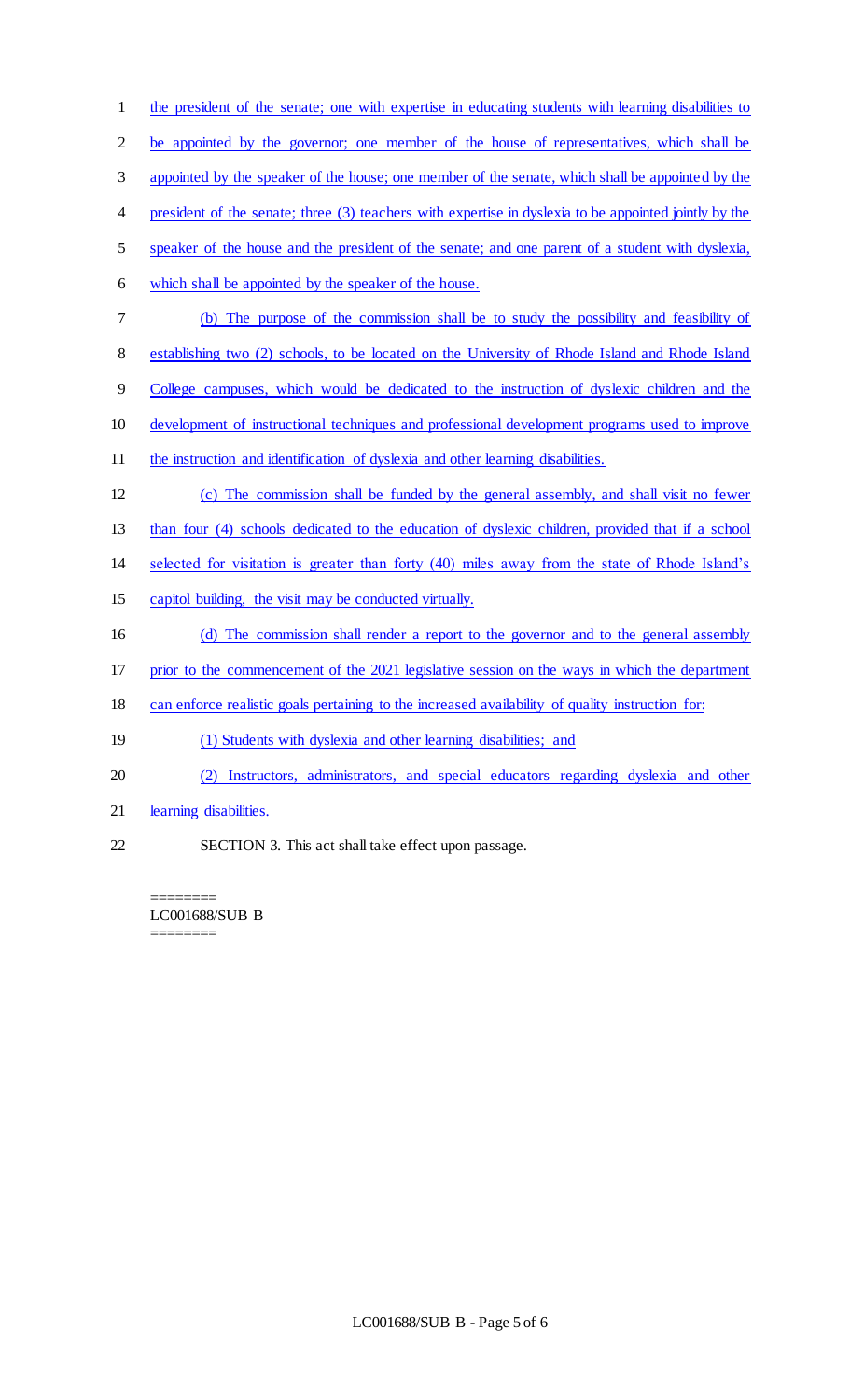| $\mathbf{1}$   | the president of the senate; one with expertise in educating students with learning disabilities to   |
|----------------|-------------------------------------------------------------------------------------------------------|
| $\overline{2}$ | be appointed by the governor; one member of the house of representatives, which shall be              |
| 3              | appointed by the speaker of the house; one member of the senate, which shall be appointed by the      |
| 4              | president of the senate; three (3) teachers with expertise in dyslexia to be appointed jointly by the |
| 5              | speaker of the house and the president of the senate; and one parent of a student with dyslexia,      |
| 6              | which shall be appointed by the speaker of the house.                                                 |
| 7              | (b) The purpose of the commission shall be to study the possibility and feasibility of                |
| 8              | establishing two (2) schools, to be located on the University of Rhode Island and Rhode Island        |
| 9              | College campuses, which would be dedicated to the instruction of dyslexic children and the            |
| 10             | development of instructional techniques and professional development programs used to improve         |
| 11             | the instruction and identification of dyslexia and other learning disabilities.                       |
|                |                                                                                                       |
| 12             | (c) The commission shall be funded by the general assembly, and shall visit no fewer                  |
| 13             | than four (4) schools dedicated to the education of dyslexic children, provided that if a school      |
| 14             | selected for visitation is greater than forty (40) miles away from the state of Rhode Island's        |
| 15             | capitol building, the visit may be conducted virtually.                                               |
| 16             | (d) The commission shall render a report to the governor and to the general assembly                  |
| 17             | prior to the commencement of the 2021 legislative session on the ways in which the department         |
| 18             | can enforce realistic goals pertaining to the increased availability of quality instruction for:      |
| 19             | (1) Students with dyslexia and other learning disabilities; and                                       |
| 20             | (2) Instructors, administrators, and special educators regarding dyslexia and other                   |
| 21             | learning disabilities.                                                                                |

LC001688/SUB B

 $\begin{tabular}{ll} \multicolumn{2}{l}{{\bf{2.3333333335}} \hspace{1.08cm}{{\bf{2.333333335}} \hspace{1.08cm}}}} \end{tabular} \end{tabular} \begin{tabular}{l} \multicolumn{2}{l}{\textbf{2.33333}} \hspace{1.08cm}{{\bf{2.33333}} \hspace{1.08cm}}}} \end{tabular} \end{tabular} \begin{tabular}{l} \multicolumn{2}{l}{\textbf{2.3333}} \hspace{1.08cm}{{\bf{2.3333}} \hspace{1.08cm}}}} \end{$ 

========